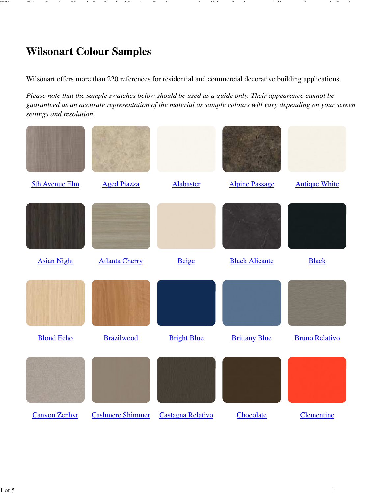## **Wilsonart Colour Samples**

Wilsonart offers more than 220 references for residential and commercial decorative building applications.

*Please note that the sample swatches below should be used as a guide only. Their appearance cannot be guaranteed as an accurate representation of the material as sample colours will vary depending on your screen settings and resolution.*

Wilsonart Colour Samples - Victoria Postforming | Laminate Benchtop ... http://vicpostforming.com.au/wilsonart-colour-samples?tmpl=compone...

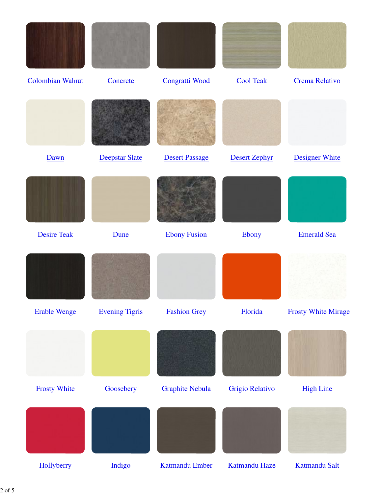| <b>Colombian Walnut</b> | Concrete              | <b>Congratti Wood</b>  | <b>Cool Teak</b>       | <b>Crema Relativo</b>      |
|-------------------------|-----------------------|------------------------|------------------------|----------------------------|
|                         |                       |                        |                        |                            |
| Dawn                    | Deepstar Slate        | <b>Desert Passage</b>  | <b>Desert Zephyr</b>   | <b>Designer White</b>      |
|                         |                       |                        |                        |                            |
| <b>Desire Teak</b>      | Dune                  | <b>Ebony Fusion</b>    | Ebony                  | <b>Emerald Sea</b>         |
|                         |                       |                        |                        |                            |
| <b>Erable Wenge</b>     | <b>Evening Tigris</b> | <b>Fashion Grey</b>    | Florida                | <b>Frosty White Mirage</b> |
|                         |                       |                        |                        |                            |
| <b>Frosty White</b>     | Goosebery             | <b>Graphite Nebula</b> | <b>Grigio Relativo</b> | <b>High Line</b>           |
|                         |                       |                        |                        |                            |
| Hollyberry              | Indigo                | <b>Katmandu Ember</b>  | Katmandu Haze          | Katmandu Salt              |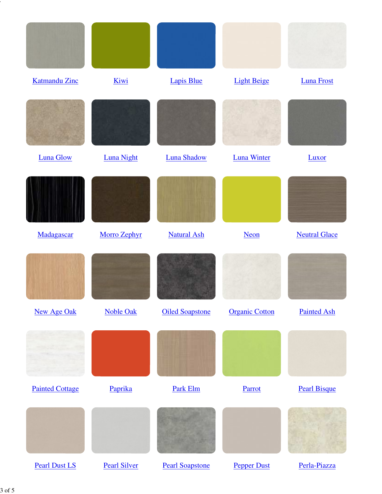| <b>Katmandu Zinc</b>   | Kiwi              | Lapis Blue             | <b>Light Beige</b>    | <b>Luna Frost</b>    |
|------------------------|-------------------|------------------------|-----------------------|----------------------|
|                        |                   |                        |                       |                      |
| <b>Luna Glow</b>       | <b>Luna Night</b> | Luna Shadow            | <b>Luna Winter</b>    | Luxor                |
|                        |                   |                        |                       |                      |
| Madagascar             | Morro Zephyr      | <b>Natural Ash</b>     | <b>Neon</b>           | <b>Neutral Glace</b> |
|                        |                   |                        |                       |                      |
| <b>New Age Oak</b>     | <b>Noble Oak</b>  | <b>Oiled Soapstone</b> | <b>Organic Cotton</b> | <b>Painted Ash</b>   |
|                        |                   |                        |                       |                      |
| <b>Painted Cottage</b> | Paprika           | Park Elm               | Parrot                | <b>Pearl Bisque</b>  |
|                        |                   |                        |                       |                      |
|                        |                   |                        |                       |                      |

Wilsonart Colour Samples - Victoria Postforming | Laminate Benchtop ... http://vicpostforming.com.au/wilsonart-colour-samples?tmpl=compone...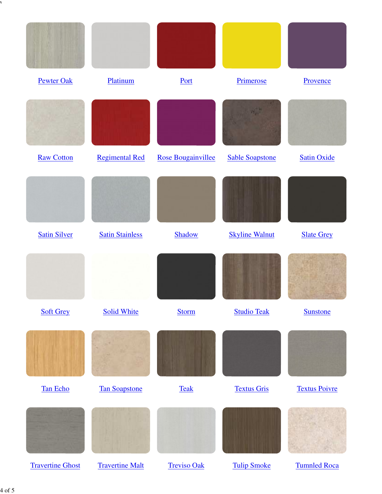| <b>Pewter Oak</b>       | Platinum               | Port                      | Primerose              | Provence             |
|-------------------------|------------------------|---------------------------|------------------------|----------------------|
|                         |                        |                           |                        |                      |
| <b>Raw Cotton</b>       | <b>Regimental Red</b>  | <b>Rose Bougainvillee</b> | <b>Sable Soapstone</b> | <b>Satin Oxide</b>   |
|                         |                        |                           |                        |                      |
| <b>Satin Silver</b>     | <b>Satin Stainless</b> | Shadow                    | <b>Skyline Walnut</b>  | <b>Slate Grey</b>    |
|                         |                        |                           |                        |                      |
| <b>Soft Grey</b>        | <b>Solid White</b>     | <b>Storm</b>              | <b>Studio Teak</b>     | <b>Sunstone</b>      |
|                         |                        |                           |                        |                      |
| Tan Echo                | <b>Tan Soapstone</b>   | <b>Teak</b>               | <b>Textus Gris</b>     | <b>Textus Poivre</b> |
|                         |                        |                           |                        |                      |
| <b>Travertine Ghost</b> | <b>Travertine Malt</b> | <b>Treviso Oak</b>        | <b>Tulip Smoke</b>     | <b>Tumnled Roca</b>  |

Wilsonart Colour Samples - Victoria Postforming  $\mathcal{L}_1$  au/wilsonart-colour-samples?tmpl=compone... http://vicpostforming.com/wilsonart-compone... http://vicpostforming.com/wilsonart-compone...